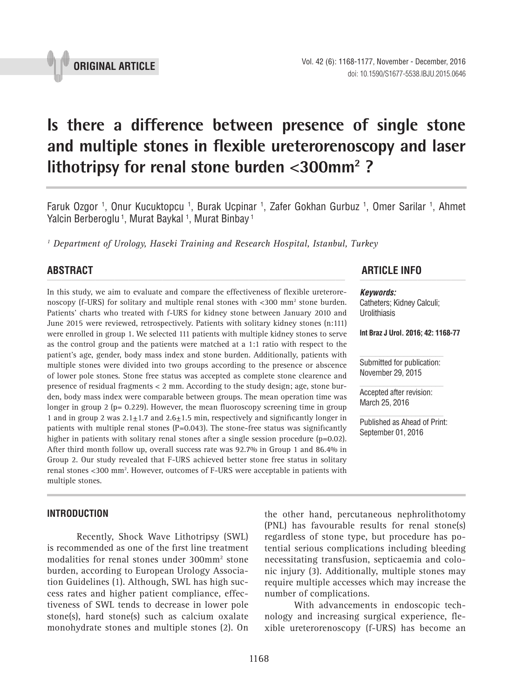

# **Is there a difference between presence of single stone and multiple stones in flexible ureterorenoscopy and laser**  lithotripsy for renal stone burden <300mm<sup>2</sup> ?

Faruk Ozgor <sup>1</sup>, Onur Kucuktopcu <sup>1</sup>, Burak Ucpinar <sup>1</sup>, Zafer Gokhan Gurbuz <sup>1</sup>, Omer Sarilar <sup>1</sup>, Ahmet Yalcin Berberoglu <sup>1</sup>, Murat Baykal <sup>1</sup>, Murat Binbay <sup>1</sup>

*1 Department of Urology, Haseki Training and Research Hospital, Istanbul, Turkey*

In this study, we aim to evaluate and compare the effectiveness of flexible ureterorenoscopy (f-URS) for solitary and multiple renal stones with  $<$ 300 mm<sup>2</sup> stone burden. Patients' charts who treated with f-URS for kidney stone between January 2010 and June 2015 were reviewed, retrospectively. Patients with solitary kidney stones (n:111) were enrolled in group 1. We selected 111 patients with multiple kidney stones to serve as the control group and the patients were matched at a 1:1 ratio with respect to the patient's age, gender, body mass index and stone burden. Additionally, patients with multiple stones were divided into two groups according to the presence or abscence of lower pole stones. Stone free status was accepted as complete stone clearence and presence of residual fragments < 2 mm. According to the study design; age, stone burden, body mass index were comparable between groups. The mean operation time was longer in group 2 (p= 0.229). However, the mean fluoroscopy screening time in group 1 and in group 2 was  $2.1 \pm 1.7$  and  $2.6 \pm 1.5$  min, respectively and significantly longer in patients with multiple renal stones  $(P=0.043)$ . The stone-free status was significantly higher in patients with solitary renal stones after a single session procedure (p=0.02). After third month follow up, overall success rate was 92.7% in Group 1 and 86.4% in Group 2. Our study revealed that F-URS achieved better stone free status in solitary renal stones <300 mm<sup>2</sup>. However, outcomes of F-URS were acceptable in patients with multiple stones.

#### **INTRODUCTION**

Recently, Shock Wave Lithotripsy (SWL) is recommended as one of the first line treatment modalities for renal stones under 300mm2 stone burden, according to European Urology Association Guidelines (1). Although, SWL has high success rates and higher patient compliance, effectiveness of SWL tends to decrease in lower pole stone(s), hard stone(s) such as calcium oxalate monohydrate stones and multiple stones (2). On

## **ABSTRACT ARTICLE INFO** *\_\_\_\_\_\_\_\_\_\_\_\_\_\_\_\_\_\_\_\_\_\_\_\_\_\_\_\_\_\_\_\_\_\_\_\_\_\_\_\_\_\_\_\_\_\_\_\_\_\_\_\_\_\_\_\_\_\_\_\_\_\_ \_\_\_\_\_\_\_\_\_\_\_\_\_\_\_\_\_\_\_\_\_\_*

*Keywords:* Catheters; Kidney Calculi; Urolithiasis

**Int Braz J Urol. 2016; 42: 1168-77**

Submitted for publication: November 29, 2015

Accepted after revision: March 25, 2016

Published as Ahead of Print: September 01, 2016

the other hand, percutaneous nephrolithotomy (PNL) has favourable results for renal stone(s) regardless of stone type, but procedure has potential serious complications including bleeding necessitating transfusion, septicaemia and colonic injury (3). Additionally, multiple stones may require multiple accesses which may increase the number of complications.

With advancements in endoscopic technology and increasing surgical experience, flexible ureterorenoscopy (f-URS) has become an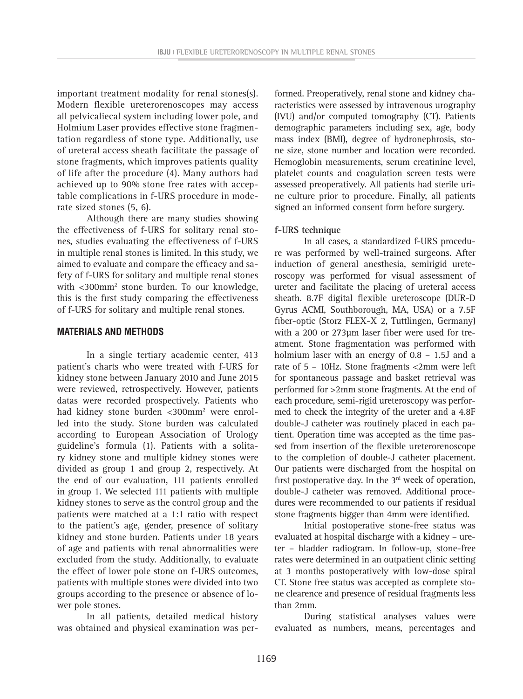important treatment modality for renal stones(s). Modern flexible ureterorenoscopes may access all pelvicaliecal system including lower pole, and Holmium Laser provides effective stone fragmentation regardless of stone type. Additionally, use of ureteral access sheath facilitate the passage of stone fragments, which improves patients quality of life after the procedure (4). Many authors had achieved up to 90% stone free rates with acceptable complications in f-URS procedure in moderate sized stones (5, 6).

Although there are many studies showing the effectiveness of f-URS for solitary renal stones, studies evaluating the effectiveness of f-URS in multiple renal stones is limited. In this study, we aimed to evaluate and compare the efficacy and safety of f-URS for solitary and multiple renal stones with <300mm2 stone burden. To our knowledge, this is the first study comparing the effectiveness of f-URS for solitary and multiple renal stones.

#### **MATERIALS AND METHODS**

In a single tertiary academic center, 413 patient's charts who were treated with f-URS for kidney stone between January 2010 and June 2015 were reviewed, retrospectively. However, patients datas were recorded prospectively. Patients who had kidney stone burden <300mm2 were enrolled into the study. Stone burden was calculated according to European Association of Urology guideline's formula (1). Patients with a solitary kidney stone and multiple kidney stones were divided as group 1 and group 2, respectively. At the end of our evaluation, 111 patients enrolled in group 1. We selected 111 patients with multiple kidney stones to serve as the control group and the patients were matched at a 1:1 ratio with respect to the patient's age, gender, presence of solitary kidney and stone burden. Patients under 18 years of age and patients with renal abnormalities were excluded from the study. Additionally, to evaluate the effect of lower pole stone on f-URS outcomes, patients with multiple stones were divided into two groups according to the presence or absence of lower pole stones.

In all patients, detailed medical history was obtained and physical examination was per-

formed. Preoperatively, renal stone and kidney characteristics were assessed by intravenous urography (IVU) and/or computed tomography (CT). Patients demographic parameters including sex, age, body mass index (BMI), degree of hydronephrosis, stone size, stone number and location were recorded. Hemoglobin measurements, serum creatinine level, platelet counts and coagulation screen tests were assessed preoperatively. All patients had sterile urine culture prior to procedure. Finally, all patients signed an informed consent form before surgery.

#### **f-URS technique**

In all cases, a standardized f-URS procedure was performed by well-trained surgeons. After induction of general anesthesia, semirigid ureteroscopy was performed for visual assessment of ureter and facilitate the placing of ureteral access sheath. 8.7F digital flexible ureteroscope (DUR-D Gyrus ACMI, Southborough, MA, USA) or a 7.5F fiber-optic (Storz FLEX-X 2, Tuttlingen, Germany) with a 200 or 273µm laser fiber were used for treatment. Stone fragmentation was performed with holmium laser with an energy of 0.8 – 1.5J and a rate of 5 – 10Hz. Stone fragments <2mm were left for spontaneous passage and basket retrieval was performed for >2mm stone fragments. At the end of each procedure, semi-rigid ureteroscopy was performed to check the integrity of the ureter and a 4.8F double-J catheter was routinely placed in each patient. Operation time was accepted as the time passed from insertion of the flexible ureterorenoscope to the completion of double-J catheter placement. Our patients were discharged from the hospital on first postoperative day. In the  $3<sup>rd</sup>$  week of operation, double-J catheter was removed. Additional procedures were recommended to our patients if residual stone fragments bigger than 4mm were identified.

Initial postoperative stone-free status was evaluated at hospital discharge with a kidney – ureter – bladder radiogram. In follow-up, stone-free rates were determined in an outpatient clinic setting at 3 months postoperatively with low-dose spiral CT. Stone free status was accepted as complete stone clearence and presence of residual fragments less than 2mm.

During statistical analyses values were evaluated as numbers, means, percentages and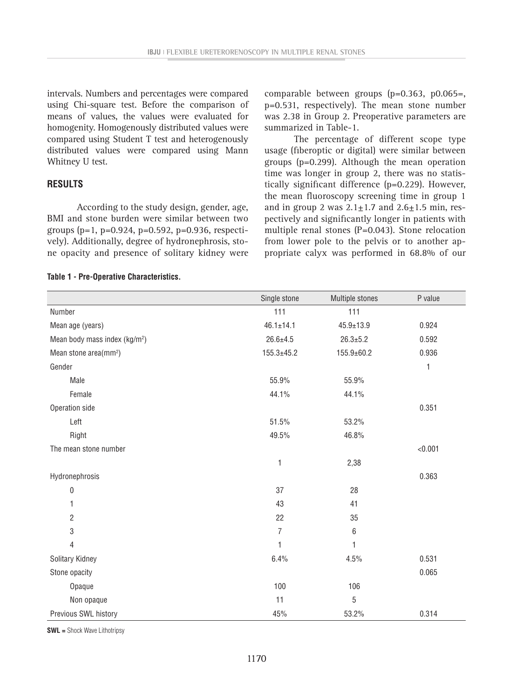intervals. Numbers and percentages were compared using Chi-square test. Before the comparison of means of values, the values were evaluated for homogenity. Homogenously distributed values were compared using Student T test and heterogenously distributed values were compared using Mann Whitney U test.

#### **RESULTS**

According to the study design, gender, age, BMI and stone burden were similar between two groups ( $p=1$ ,  $p=0.924$ ,  $p=0.592$ ,  $p=0.936$ , respectively). Additionally, degree of hydronephrosis, stone opacity and presence of solitary kidney were comparable between groups (p=0.363, p0.065=, p=0.531, respectively). The mean stone number was 2.38 in Group 2. Preoperative parameters are summarized in Table-1.

The percentage of different scope type usage (fiberoptic or digital) were similar between groups (p=0.299). Although the mean operation time was longer in group 2, there was no statistically significant difference (p=0.229). However, the mean fluoroscopy screening time in group 1 and in group 2 was  $2.1 \pm 1.7$  and  $2.6 \pm 1.5$  min, respectively and significantly longer in patients with multiple renal stones (P=0.043). Stone relocation from lower pole to the pelvis or to another appropriate calyx was performed in 68.8% of our

#### **Table 1 - Pre-Operative Characteristics.**

|                                           | Single stone     | Multiple stones  | P value      |
|-------------------------------------------|------------------|------------------|--------------|
| Number                                    | 111              | 111              |              |
| Mean age (years)                          | $46.1 \pm 14.1$  | $45.9 \pm 13.9$  | 0.924        |
| Mean body mass index (kg/m <sup>2</sup> ) | $26.6 \pm 4.5$   | $26.3 \pm 5.2$   | 0.592        |
| Mean stone area(mm <sup>2</sup> )         | $155.3 \pm 45.2$ | $155.9 \pm 60.2$ | 0.936        |
| Gender                                    |                  |                  | $\mathbf{1}$ |
| Male                                      | 55.9%            | 55.9%            |              |
| Female                                    | 44.1%            | 44.1%            |              |
| Operation side                            |                  |                  | 0.351        |
| Left                                      | 51.5%            | 53.2%            |              |
| Right                                     | 49.5%            | 46.8%            |              |
| The mean stone number                     |                  |                  | < 0.001      |
|                                           | 1                | 2,38             |              |
| Hydronephrosis                            |                  |                  | 0.363        |
| $\boldsymbol{0}$                          | 37               | 28               |              |
| 1                                         | 43               | 41               |              |
| $\overline{2}$                            | 22               | 35               |              |
| $\sqrt{3}$                                | 7                | $\,6\,$          |              |
| $\overline{4}$                            | 1                | 1                |              |
| Solitary Kidney                           | 6.4%             | 4.5%             | 0.531        |
| Stone opacity                             |                  |                  | 0.065        |
| Opaque                                    | 100              | 106              |              |
| Non opaque                                | 11               | $5\,$            |              |
| Previous SWL history                      | 45%              | 53.2%            | 0.314        |

**SWL =** Shock Wave Lithotripsy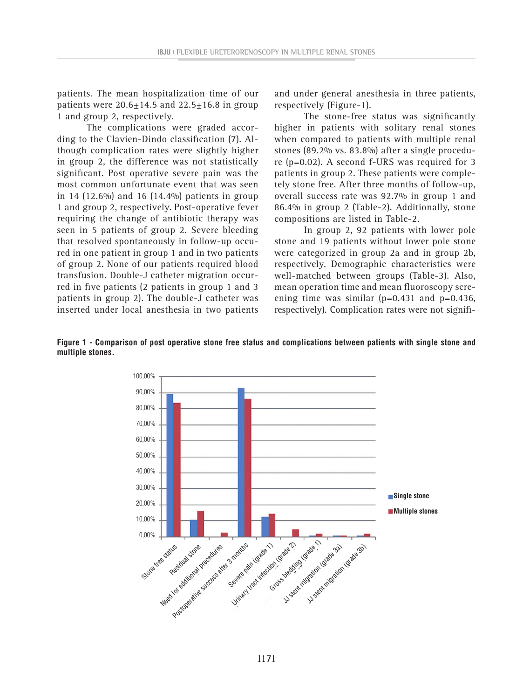patients. The mean hospitalization time of our patients were  $20.6 \pm 14.5$  and  $22.5 \pm 16.8$  in group 1 and group 2, respectively.

The complications were graded according to the Clavien-Dindo classification (7). Although complication rates were slightly higher in group 2, the difference was not statistically significant. Post operative severe pain was the most common unfortunate event that was seen in 14 (12.6%) and 16 (14.4%) patients in group 1 and group 2, respectively. Post-operative fever requiring the change of antibiotic therapy was seen in 5 patients of group 2. Severe bleeding that resolved spontaneously in follow-up occured in one patient in group 1 and in two patients of group 2. None of our patients required blood transfusion. Double-J catheter migration occurred in five patients (2 patients in group 1 and 3 patients in group 2). The double-J catheter was inserted under local anesthesia in two patients and under general anesthesia in three patients, respectively (Figure-1).

The stone-free status was significantly higher in patients with solitary renal stones when compared to patients with multiple renal stones (89.2% vs. 83.8%) after a single procedure (p=0.02). A second f-URS was required for 3 patients in group 2. These patients were completely stone free. After three months of follow-up, overall success rate was 92.7% in group 1 and 86.4% in group 2 (Table-2). Additionally, stone compositions are listed in Table-2.

In group 2, 92 patients with lower pole stone and 19 patients without lower pole stone were categorized in group 2a and in group 2b, respectively. Demographic characteristics were well-matched between groups (Table-3). Also, mean operation time and mean fluoroscopy screening time was similar  $(p=0.431$  and  $p=0.436$ , respectively). Complication rates were not signifi-

**Figure 1 - Comparison of post operative stone free status and complications between patients with single stone and multiple stones.**

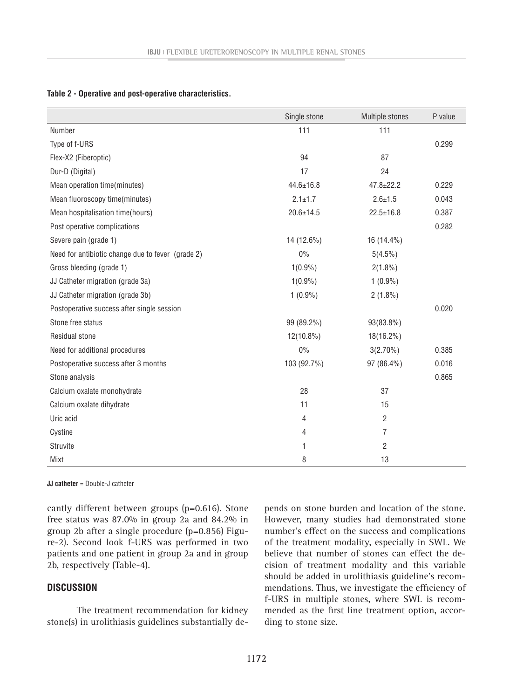|                                                   | Single stone    | Multiple stones | P value |
|---------------------------------------------------|-----------------|-----------------|---------|
| Number                                            | 111             | 111             |         |
| Type of f-URS                                     |                 |                 | 0.299   |
| Flex-X2 (Fiberoptic)                              | 94              | 87              |         |
| Dur-D (Digital)                                   | 17              | 24              |         |
| Mean operation time(minutes)                      | $44.6 \pm 16.8$ | $47.8 \pm 22.2$ | 0.229   |
| Mean fluoroscopy time(minutes)                    | $2.1 \pm 1.7$   | $2.6 \pm 1.5$   | 0.043   |
| Mean hospitalisation time(hours)                  | $20.6 \pm 14.5$ | $22.5 \pm 16.8$ | 0.387   |
| Post operative complications                      |                 |                 | 0.282   |
| Severe pain (grade 1)                             | 14 (12.6%)      | 16 (14.4%)      |         |
| Need for antibiotic change due to fever (grade 2) | $0\%$           | $5(4.5\%)$      |         |
| Gross bleeding (grade 1)                          | $1(0.9\%)$      | $2(1.8\%)$      |         |
| JJ Catheter migration (grade 3a)                  | $1(0.9\%)$      | $1(0.9\%)$      |         |
| JJ Catheter migration (grade 3b)                  | $1(0.9\%)$      | $2(1.8\%)$      |         |
| Postoperative success after single session        |                 |                 | 0.020   |
| Stone free status                                 | 99 (89.2%)      | 93(83.8%)       |         |
| Residual stone                                    | $12(10.8\%)$    | 18(16.2%)       |         |
| Need for additional procedures                    | $0\%$           | $3(2.70\%)$     | 0.385   |
| Postoperative success after 3 months              | 103 (92.7%)     | 97 (86.4%)      | 0.016   |
| Stone analysis                                    |                 |                 | 0.865   |
| Calcium oxalate monohydrate                       | 28              | 37              |         |
| Calcium oxalate dihydrate                         | 11              | 15              |         |
| Uric acid                                         | 4               | $\overline{2}$  |         |
| Cystine                                           | 4               | 7               |         |
| Struvite                                          | 1               | 2               |         |
| Mixt                                              | 8               | 13              |         |

#### **Table 2 - Operative and post-operative characteristics.**

**JJ catheter** = Double-J catheter

cantly different between groups (p=0.616). Stone free status was 87.0% in group 2a and 84.2% in group 2b after a single procedure (p=0.856) Figure-2). Second look f-URS was performed in two patients and one patient in group 2a and in group 2b, respectively (Table-4).

#### **DISCUSSION**

The treatment recommendation for kidney stone(s) in urolithiasis guidelines substantially depends on stone burden and location of the stone. However, many studies had demonstrated stone number's effect on the success and complications of the treatment modality, especially in SWL. We believe that number of stones can effect the decision of treatment modality and this variable should be added in urolithiasis guideline's recommendations. Thus, we investigate the efficiency of f-URS in multiple stones, where SWL is recommended as the first line treatment option, according to stone size.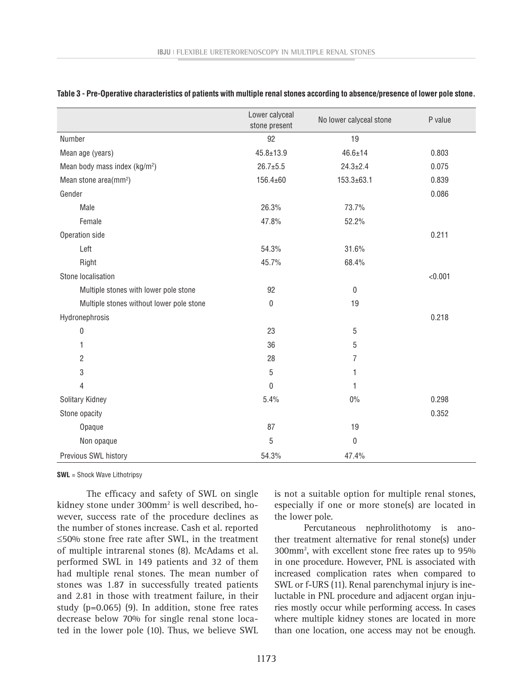|                                           | Lower calyceal<br>stone present | No lower calyceal stone | P value |
|-------------------------------------------|---------------------------------|-------------------------|---------|
| Number                                    | 92                              | 19                      |         |
| Mean age (years)                          | $45.8 \pm 13.9$                 | $46.6 \pm 14$           | 0.803   |
| Mean body mass index (kg/m <sup>2</sup> ) | $26.7 + 5.5$                    | $24.3 \pm 2.4$          | 0.075   |
| Mean stone area(mm <sup>2</sup> )         | 156.4±60                        | $153.3 \pm 63.1$        | 0.839   |
| Gender                                    |                                 |                         | 0.086   |
| Male                                      | 26.3%                           | 73.7%                   |         |
| Female                                    | 47.8%                           | 52.2%                   |         |
| Operation side                            |                                 |                         | 0.211   |
| Left                                      | 54.3%                           | 31.6%                   |         |
| Right                                     | 45.7%                           | 68.4%                   |         |
| Stone localisation                        |                                 |                         | < 0.001 |
| Multiple stones with lower pole stone     | 92                              | $\mathbf 0$             |         |
| Multiple stones without lower pole stone  | 0                               | 19                      |         |
| Hydronephrosis                            |                                 |                         | 0.218   |
| 0                                         | 23                              | 5                       |         |
| 1                                         | 36                              | 5                       |         |
| $\overline{2}$                            | 28                              | $\overline{7}$          |         |
| 3                                         | 5                               | 1                       |         |
| 4                                         | $\pmb{0}$                       | 1                       |         |
| Solitary Kidney                           | 5.4%                            | $0\%$                   | 0.298   |
| Stone opacity                             |                                 |                         | 0.352   |
| Opaque                                    | 87                              | 19                      |         |
| Non opaque                                | 5                               | 0                       |         |
| Previous SWL history                      | 54.3%                           | 47.4%                   |         |

|  |  |  |  |  | Table 3 - Pre-Operative characteristics of patients with multiple renal stones according to absence/presence of lower pole stone. |
|--|--|--|--|--|-----------------------------------------------------------------------------------------------------------------------------------|
|--|--|--|--|--|-----------------------------------------------------------------------------------------------------------------------------------|

**SWL** = Shock Wave Lithotripsy

The efficacy and safety of SWL on single kidney stone under 300mm2 is well described, however, success rate of the procedure declines as the number of stones increase. Cash et al. reported ≤50% stone free rate after SWL, in the treatment of multiple intrarenal stones (8). McAdams et al. performed SWL in 149 patients and 32 of them had multiple renal stones. The mean number of stones was 1.87 in successfully treated patients and 2.81 in those with treatment failure, in their study (p=0.065) (9). In addition, stone free rates decrease below 70% for single renal stone located in the lower pole (10). Thus, we believe SWL is not a suitable option for multiple renal stones, especially if one or more stone(s) are located in the lower pole.

Percutaneous nephrolithotomy is another treatment alternative for renal stone(s) under 300mm2 , with excellent stone free rates up to 95% in one procedure. However, PNL is associated with increased complication rates when compared to SWL or f-URS (11). Renal parenchymal injury is ineluctable in PNL procedure and adjacent organ injuries mostly occur while performing access. In cases where multiple kidney stones are located in more than one location, one access may not be enough.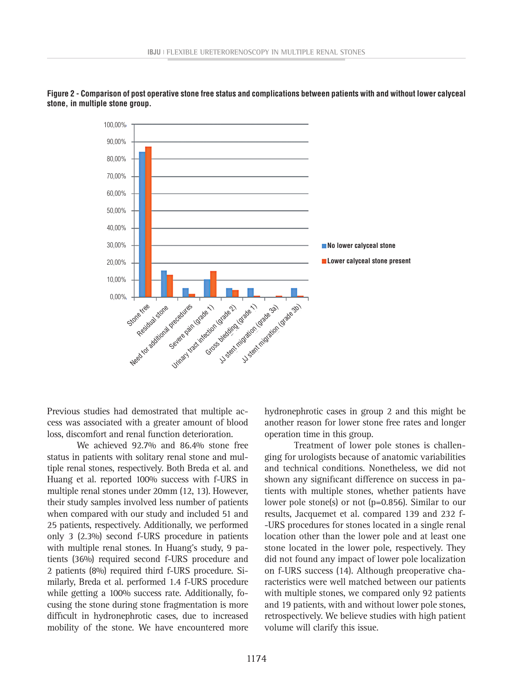

**Figure 2 - Comparison of post operative stone free status and complications between patients with and without lower calyceal stone, in multiple stone group.**

Previous studies had demostrated that multiple access was associated with a greater amount of blood loss, discomfort and renal function deterioration.

We achieved 92.7% and 86.4% stone free status in patients with solitary renal stone and multiple renal stones, respectively. Both Breda et al. and Huang et al. reported 100% success with f-URS in multiple renal stones under 20mm (12, 13). However, their study samples involved less number of patients when compared with our study and included 51 and 25 patients, respectively. Additionally, we performed only 3 (2.3%) second f-URS procedure in patients with multiple renal stones. In Huang's study, 9 patients (36%) required second f-URS procedure and 2 patients (8%) required third f-URS procedure. Similarly, Breda et al. performed 1.4 f-URS procedure while getting a 100% success rate. Additionally, focusing the stone during stone fragmentation is more difficult in hydronephrotic cases, due to increased mobility of the stone. We have encountered more hydronephrotic cases in group 2 and this might be another reason for lower stone free rates and longer operation time in this group.

Treatment of lower pole stones is challenging for urologists because of anatomic variabilities and technical conditions. Nonetheless, we did not shown any significant difference on success in patients with multiple stones, whether patients have lower pole stone(s) or not (p=0.856). Similar to our results, Jacquemet et al. compared 139 and 232 f- -URS procedures for stones located in a single renal location other than the lower pole and at least one stone located in the lower pole, respectively. They did not found any impact of lower pole localization on f-URS success (14). Although preoperative characteristics were well matched between our patients with multiple stones, we compared only 92 patients and 19 patients, with and without lower pole stones, retrospectively. We believe studies with high patient volume will clarify this issue.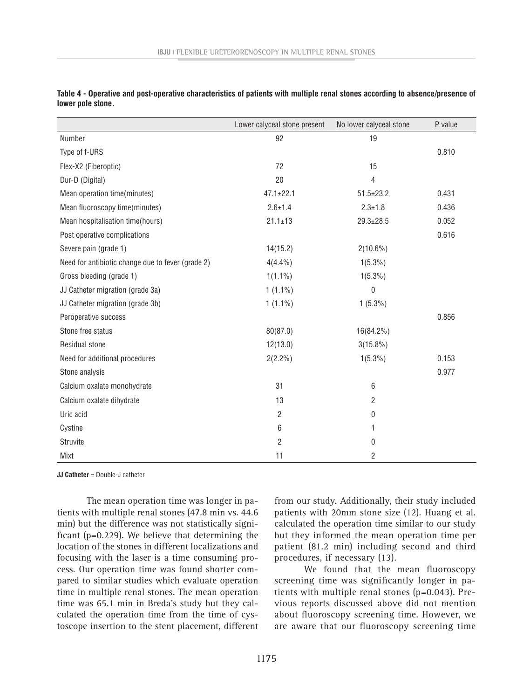|                                                   | Lower calyceal stone present | No lower calyceal stone | P value |
|---------------------------------------------------|------------------------------|-------------------------|---------|
| Number                                            | 92                           | 19                      |         |
| Type of f-URS                                     |                              |                         | 0.810   |
| Flex-X2 (Fiberoptic)                              | 72                           | 15                      |         |
| Dur-D (Digital)                                   | 20                           | 4                       |         |
| Mean operation time(minutes)                      | $47.1 \pm 22.1$              | $51.5 \pm 23.2$         | 0.431   |
| Mean fluoroscopy time(minutes)                    | $2.6 \pm 1.4$                | $2.3 \pm 1.8$           | 0.436   |
| Mean hospitalisation time(hours)                  | $21.1 \pm 13$                | $29.3 \pm 28.5$         | 0.052   |
| Post operative complications                      |                              |                         | 0.616   |
| Severe pain (grade 1)                             | 14(15.2)                     | $2(10.6\%)$             |         |
| Need for antibiotic change due to fever (grade 2) | $4(4.4\%)$                   | $1(5.3\%)$              |         |
| Gross bleeding (grade 1)                          | $1(1.1\%)$                   | $1(5.3\%)$              |         |
| JJ Catheter migration (grade 3a)                  | $1(1.1\%)$                   | $\pmb{0}$               |         |
| JJ Catheter migration (grade 3b)                  | $1(1.1\%)$                   | $1(5.3\%)$              |         |
| Peroperative success                              |                              |                         | 0.856   |
| Stone free status                                 | 80(87.0)                     | 16(84.2%)               |         |
| Residual stone                                    | 12(13.0)                     | $3(15.8\%)$             |         |
| Need for additional procedures                    | $2(2.2\%)$                   | $1(5.3\%)$              | 0.153   |
| Stone analysis                                    |                              |                         | 0.977   |
| Calcium oxalate monohydrate                       | 31                           | 6                       |         |
| Calcium oxalate dihydrate                         | 13                           | $\overline{2}$          |         |
| Uric acid                                         | 2                            | 0                       |         |
| Cystine                                           | 6                            | 1                       |         |
| Struvite                                          | $\overline{2}$               | 0                       |         |
| Mixt                                              | 11                           | $\overline{c}$          |         |

**Table 4 - Operative and post-operative characteristics of patients with multiple renal stones according to absence/presence of lower pole stone.**

**JJ Catheter** = Double-J catheter

The mean operation time was longer in patients with multiple renal stones (47.8 min vs. 44.6 min) but the difference was not statistically significant (p=0.229). We believe that determining the location of the stones in different localizations and focusing with the laser is a time consuming process. Our operation time was found shorter compared to similar studies which evaluate operation time in multiple renal stones. The mean operation time was 65.1 min in Breda's study but they calculated the operation time from the time of cystoscope insertion to the stent placement, different

from our study. Additionally, their study included patients with 20mm stone size (12). Huang et al. calculated the operation time similar to our study but they informed the mean operation time per patient (81.2 min) including second and third procedures, if necessary (13).

We found that the mean fluoroscopy screening time was significantly longer in patients with multiple renal stones (p=0.043). Previous reports discussed above did not mention about fluoroscopy screening time. However, we are aware that our fluoroscopy screening time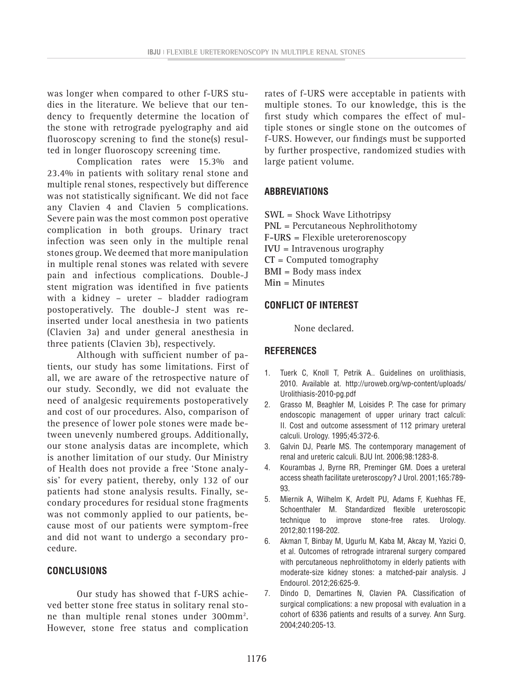was longer when compared to other f-URS studies in the literature. We believe that our tendency to frequently determine the location of the stone with retrograde pyelography and aid fluoroscopy screning to find the stone(s) resulted in longer fluoroscopy screening time.

Complication rates were 15.3% and 23.4% in patients with solitary renal stone and multiple renal stones, respectively but difference was not statistically significant. We did not face any Clavien 4 and Clavien 5 complications. Severe pain was the most common post operative complication in both groups. Urinary tract infection was seen only in the multiple renal stones group. We deemed that more manipulation in multiple renal stones was related with severe pain and infectious complications. Double-J stent migration was identified in five patients with a kidney – ureter – bladder radiogram postoperatively. The double-J stent was reinserted under local anesthesia in two patients (Clavien 3a) and under general anesthesia in three patients (Clavien 3b), respectively.

Although with sufficient number of patients, our study has some limitations. First of all, we are aware of the retrospective nature of our study. Secondly, we did not evaluate the need of analgesic requirements postoperatively and cost of our procedures. Also, comparison of the presence of lower pole stones were made between unevenly numbered groups. Additionally, our stone analysis datas are incomplete, which is another limitation of our study. Our Ministry of Health does not provide a free 'Stone analysis' for every patient, thereby, only 132 of our patients had stone analysis results. Finally, secondary procedures for residual stone fragments was not commonly applied to our patients, because most of our patients were symptom-free and did not want to undergo a secondary procedure.

#### **CONCLUSIONS**

Our study has showed that f-URS achieved better stone free status in solitary renal stone than multiple renal stones under 300mm2 . However, stone free status and complication

rates of f-URS were acceptable in patients with multiple stones. To our knowledge, this is the first study which compares the effect of multiple stones or single stone on the outcomes of f-URS. However, our findings must be supported by further prospective, randomized studies with large patient volume.

### **ABBREVIATIONS**

- **SWL** = Shock Wave Lithotripsy
- **PNL** = Percutaneous Nephrolithotomy
- **F-URS** = Flexible ureterorenoscopy
- **IVU** = Intravenous urography
- **CT** = Computed tomography
- **BMI** = Body mass index
- **Min** = Minutes

#### **CONFLICT OF INTEREST**

None declared.

#### **REFERENCES**

- 1. Tuerk C, Knoll T, Petrik A.. Guidelines on urolithiasis, 2010. Available at. http://uroweb.org/wp-content/uploads/ Urolithiasis-2010-pg.pdf
- 2. Grasso M, Beaghler M, Loisides P. The case for primary endoscopic management of upper urinary tract calculi: II. Cost and outcome assessment of 112 primary ureteral calculi. Urology. 1995;45:372-6.
- 3. Galvin DJ, Pearle MS. The contemporary management of renal and ureteric calculi. BJU Int. 2006;98:1283-8.
- 4. Kourambas J, Byrne RR, Preminger GM. Does a ureteral access sheath facilitate ureteroscopy? J Urol. 2001;165:789- 93.
- 5. Miernik A, Wilhelm K, Ardelt PU, Adams F, Kuehhas FE, Schoenthaler M. Standardized flexible ureteroscopic technique to improve stone-free rates. Urology. 2012;80:1198-202.
- 6. Akman T, Binbay M, Ugurlu M, Kaba M, Akcay M, Yazici O, et al. Outcomes of retrograde intrarenal surgery compared with percutaneous nephrolithotomy in elderly patients with moderate-size kidney stones: a matched-pair analysis. J Endourol. 2012;26:625-9.
- 7. Dindo D, Demartines N, Clavien PA. Classification of surgical complications: a new proposal with evaluation in a cohort of 6336 patients and results of a survey. Ann Surg. 2004;240:205-13.